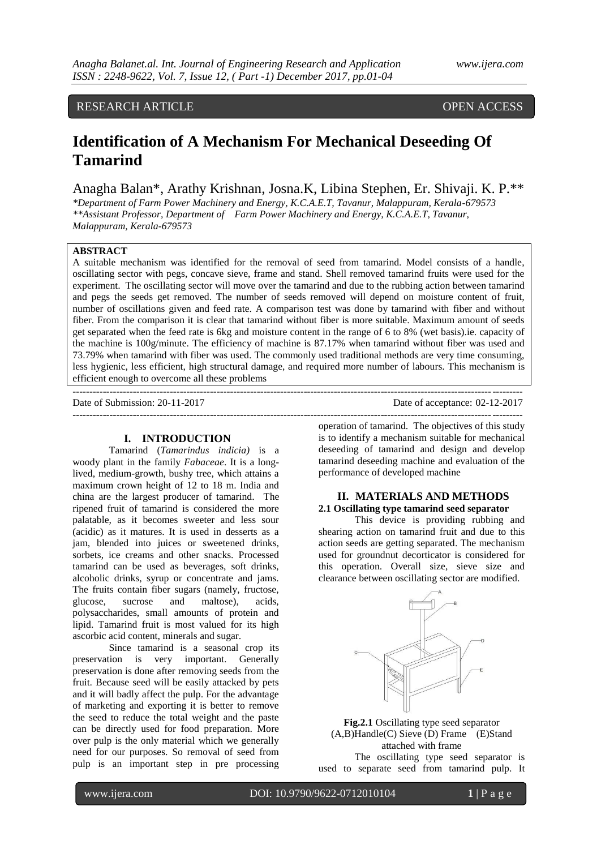## RESEARCH ARTICLE OPEN ACCESS

# **Identification of A Mechanism For Mechanical Deseeding Of Tamarind**

Anagha Balan\*, Arathy Krishnan, Josna.K, Libina Stephen, Er. Shivaji. K. P.\*\*

*\*Department of Farm Power Machinery and Energy, K.C.A.E.T, Tavanur, Malappuram, Kerala-679573 \*\*Assistant Professor, Department of Farm Power Machinery and Energy, K.C.A.E.T, Tavanur, Malappuram, Kerala-679573*

### **ABSTRACT**

A suitable mechanism was identified for the removal of seed from tamarind. Model consists of a handle, oscillating sector with pegs, concave sieve, frame and stand. Shell removed tamarind fruits were used for the experiment. The oscillating sector will move over the tamarind and due to the rubbing action between tamarind and pegs the seeds get removed. The number of seeds removed will depend on moisture content of fruit, number of oscillations given and feed rate. A comparison test was done by tamarind with fiber and without fiber. From the comparison it is clear that tamarind without fiber is more suitable. Maximum amount of seeds get separated when the feed rate is 6kg and moisture content in the range of 6 to 8% (wet basis).ie. capacity of the machine is 100g/minute. The efficiency of machine is 87.17% when tamarind without fiber was used and 73.79% when tamarind with fiber was used. The commonly used traditional methods are very time consuming, less hygienic, less efficient, high structural damage, and required more number of labours. This mechanism is efficient enough to overcome all these problems

**-------------------------------------------------------------------------------------------------------------------------------------- --------------------------------------------------------------------------------------------------------------------------------------**

Date of acceptance: 02-12-2017

#### **I. INTRODUCTION**

Tamarind (*Tamarindus indicia)* is a woody plant in the family *Fabaceae*. It is a longlived, medium-growth, bushy tree, which attains a maximum crown height of 12 to 18 m. India and china are the largest producer of tamarind. The ripened fruit of tamarind is considered the more palatable, as it becomes sweeter and less sour (acidic) as it matures. It is used in desserts as a jam, blended into juices or sweetened drinks, sorbets, ice creams and other snacks. Processed tamarind can be used as beverages, soft drinks, alcoholic drinks, syrup or concentrate and jams. The fruits contain fiber sugars (namely, fructose, glucose, sucrose and maltose), acids, polysaccharides, small amounts of protein and lipid. Tamarind fruit is most valued for its high ascorbic acid content, minerals and sugar.

Since tamarind is a seasonal crop its preservation is very important. Generally preservation is done after removing seeds from the fruit. Because seed will be easily attacked by pets and it will badly affect the pulp. For the advantage of marketing and exporting it is better to remove the seed to reduce the total weight and the paste can be directly used for food preparation. More over pulp is the only material which we generally need for our purposes. So removal of seed from pulp is an important step in pre processing operation of tamarind. The objectives of this study is to identify a mechanism suitable for mechanical deseeding of tamarind and design and develop tamarind deseeding machine and evaluation of the performance of developed machine

#### **II. MATERIALS AND METHODS 2.1 Oscillating type tamarind seed separator**

This device is providing rubbing and shearing action on tamarind fruit and due to this action seeds are getting separated. The mechanism used for groundnut decorticator is considered for this operation. Overall size, sieve size and clearance between oscillating sector are modified.



**Fig.2.1** Oscillating type seed separator (A,B)Handle(C) Sieve (D) Frame (E)Stand attached with frame The oscillating type seed separator is

used to separate seed from tamarind pulp. It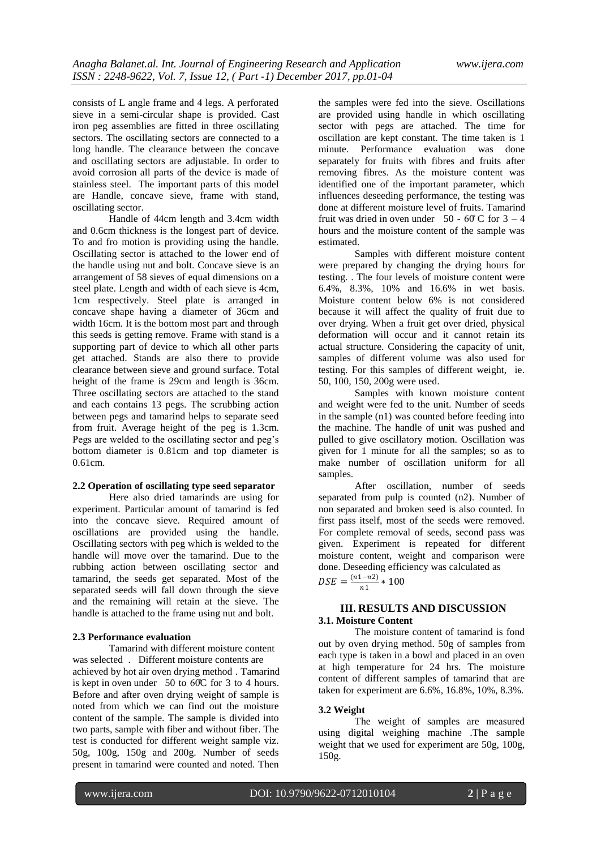consists of L angle frame and 4 legs. A perforated sieve in a semi-circular shape is provided. Cast iron peg assemblies are fitted in three oscillating sectors. The oscillating sectors are connected to a long handle. The clearance between the concave and oscillating sectors are adjustable. In order to avoid corrosion all parts of the device is made of stainless steel. The important parts of this model are Handle, concave sieve, frame with stand, oscillating sector.

Handle of 44cm length and 3.4cm width and 0.6cm thickness is the longest part of device. To and fro motion is providing using the handle. Oscillating sector is attached to the lower end of the handle using nut and bolt. Concave sieve is an arrangement of 58 sieves of equal dimensions on a steel plate. Length and width of each sieve is 4cm, 1cm respectively. Steel plate is arranged in concave shape having a diameter of 36cm and width 16cm. It is the bottom most part and through this seeds is getting remove. Frame with stand is a supporting part of device to which all other parts get attached. Stands are also there to provide clearance between sieve and ground surface. Total height of the frame is 29cm and length is 36cm. Three oscillating sectors are attached to the stand and each contains 13 pegs. The scrubbing action between pegs and tamarind helps to separate seed from fruit. Average height of the peg is 1.3cm. Pegs are welded to the oscillating sector and peg's bottom diameter is 0.81cm and top diameter is 0.61cm.

#### **2.2 Operation of oscillating type seed separator**

Here also dried tamarinds are using for experiment. Particular amount of tamarind is fed into the concave sieve. Required amount of oscillations are provided using the handle. Oscillating sectors with peg which is welded to the handle will move over the tamarind. Due to the rubbing action between oscillating sector and tamarind, the seeds get separated. Most of the separated seeds will fall down through the sieve and the remaining will retain at the sieve. The handle is attached to the frame using nut and bolt.

#### **2.3 Performance evaluation**

Tamarind with different moisture content was selected . Different moisture contents are achieved by hot air oven drying method . Tamarind is kept in oven under  $50$  to  $60C$  for 3 to 4 hours. Before and after oven drying weight of sample is noted from which we can find out the moisture content of the sample. The sample is divided into two parts, sample with fiber and without fiber. The test is conducted for different weight sample viz. 50g, 100g, 150g and 200g. Number of seeds present in tamarind were counted and noted. Then

the samples were fed into the sieve. Oscillations are provided using handle in which oscillating sector with pegs are attached. The time for oscillation are kept constant. The time taken is 1 minute. Performance evaluation was done separately for fruits with fibres and fruits after removing fibres. As the moisture content was identified one of the important parameter, which influences deseeding performance, the testing was done at different moisture level of fruits. Tamarind fruit was dried in oven under  $50 - 60$  C for  $3 - 4$ hours and the moisture content of the sample was estimated.

Samples with different moisture content were prepared by changing the drying hours for testing. . The four levels of moisture content were 6.4%, 8.3%, 10% and 16.6% in wet basis. Moisture content below 6% is not considered because it will affect the quality of fruit due to over drying. When a fruit get over dried, physical deformation will occur and it cannot retain its actual structure. Considering the capacity of unit, samples of different volume was also used for testing. For this samples of different weight, ie. 50, 100, 150, 200g were used.

Samples with known moisture content and weight were fed to the unit. Number of seeds in the sample (n1) was counted before feeding into the machine. The handle of unit was pushed and pulled to give oscillatory motion. Oscillation was given for 1 minute for all the samples; so as to make number of oscillation uniform for all samples.

After oscillation, number of seeds separated from pulp is counted (n2). Number of non separated and broken seed is also counted. In first pass itself, most of the seeds were removed. For complete removal of seeds, second pass was given. Experiment is repeated for different moisture content, weight and comparison were done. Deseeding efficiency was calculated as  $DSE = \frac{(n1-n2)}{n^4}$  $\frac{n(1-n)}{n} * 100$ 

#### **III. RESULTS AND DISCUSSION 3.1. Moisture Content**

The moisture content of tamarind is fond out by oven drying method. 50g of samples from each type is taken in a bowl and placed in an oven at high temperature for 24 hrs. The moisture content of different samples of tamarind that are taken for experiment are 6.6%, 16.8%, 10%, 8.3%.

#### **3.2 Weight**

The weight of samples are measured using digital weighing machine .The sample weight that we used for experiment are 50g, 100g, 150g.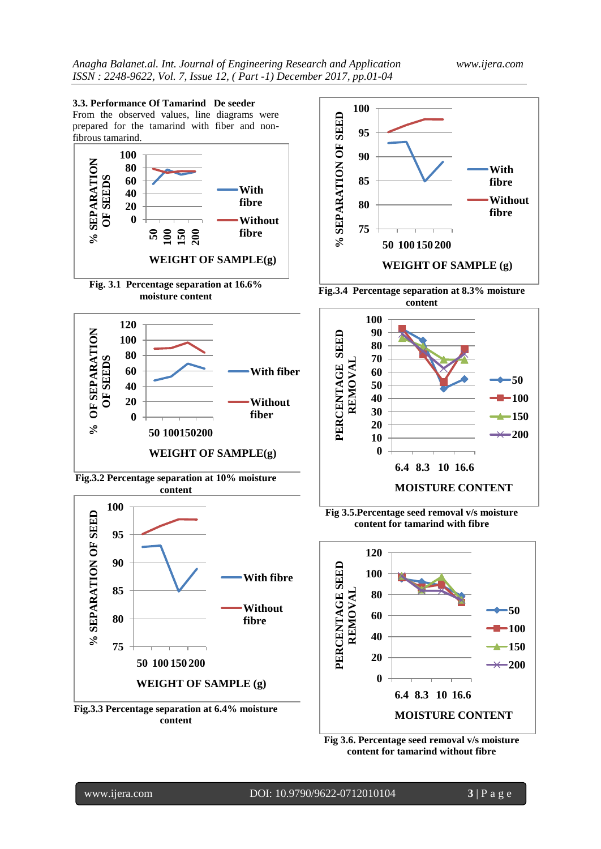

**Fig 3.6. Percentage seed removal v/s moisture content for tamarind without fibre**